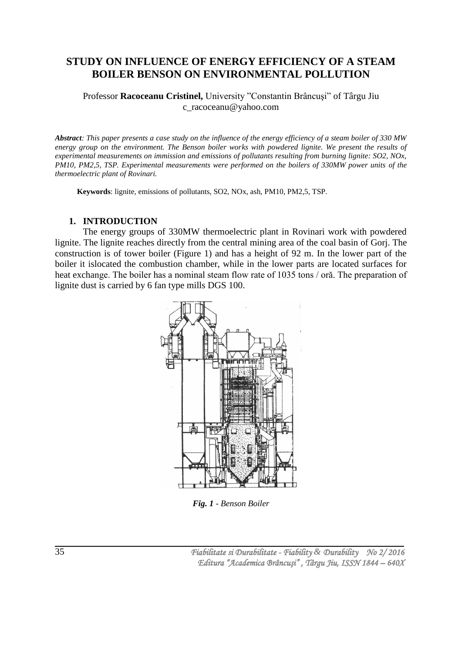## **STUDY ON INFLUENCE OF ENERGY EFFICIENCY OF A STEAM BOILER BENSON ON ENVIRONMENTAL POLLUTION**

Professor **Racoceanu Cristinel,** University "Constantin Brâncuşi" of Târgu Jiu c\_racoceanu@yahoo.com

*Abstract: This paper presents a case study on the influence of the energy efficiency of a steam boiler of 330 MW energy group on the environment. The Benson boiler works with powdered lignite. We present the results of experimental measurements on immission and emissions of pollutants resulting from burning lignite: SO2, NOx, PM10, PM2,5, TSP. Experimental measurements were performed on the boilers of 330MW power units of the thermoelectric plant of Rovinari.*

**Keywords**: lignite, emissions of pollutants, SO2, NOx, ash, PM10, PM2,5, TSP.

#### **1. INTRODUCTION**

The energy groups of 330MW thermoelectric plant in Rovinari work with powdered lignite. The lignite reaches directly from the central mining area of the coal basin of Gorj. The construction is of tower boiler (Figure 1) and has a height of 92 m. In the lower part of the boiler it islocated the combustion chamber, while in the lower parts are located surfaces for heat exchange. The boiler has a nominal steam flow rate of 1035 tons / oră. The preparation of lignite dust is carried by 6 fan type mills DGS 100.



*Fig. 1 - Benson Boiler*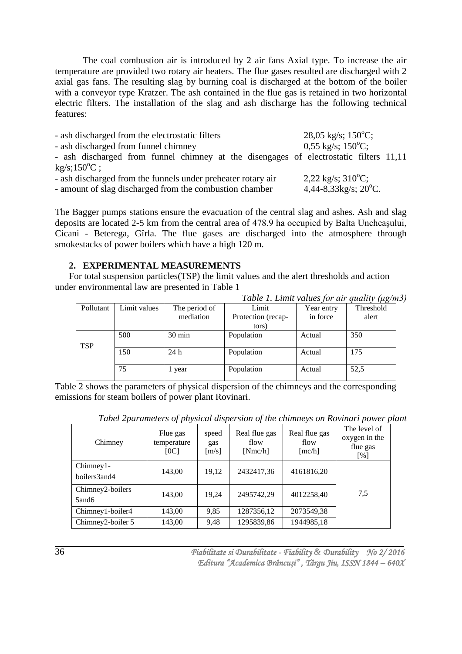The coal combustion air is introduced by 2 air fans Axial type. To increase the air temperature are provided two rotary air heaters. The flue gases resulted are discharged with 2 axial gas fans. The resulting slag by burning coal is discharged at the bottom of the boiler with a conveyor type Kratzer. The ash contained in the flue gas is retained in two horizontal electric filters. The installation of the slag and ash discharge has the following technical features:

| - ash discharged from the electrostatic filters                                       | $28,05 \text{ kg/s}; 150^{\circ}\text{C};$ |
|---------------------------------------------------------------------------------------|--------------------------------------------|
| - ash discharged from funnel chimney                                                  | $0,55 \text{ kg/s}; 150^{\circ}\text{C};$  |
| - ash discharged from funnel chimney at the disengages of electrostatic filters 11,11 |                                            |
| $kg/s;150^{\circ}C$ ;                                                                 |                                            |
| - ash discharged from the funnels under preheater rotary air                          | $2,22$ kg/s; $310^{\circ}$ C;              |
| - amount of slag discharged from the combustion chamber                               | 4,44-8,33kg/s; $20^{\circ}$ C.             |

The Bagger pumps stations ensure the evacuation of the central slag and ashes. Ash and slag deposits are located 2-5 km from the central area of 478.9 ha occupied by Balta Uncheaşului, Cicani - Beterega, Gîrla. The flue gases are discharged into the atmosphere through smokestacks of power boilers which have a high 120 m.

#### **2. EXPERIMENTAL MEASUREMENTS**

For total suspension particles(TSP) the limit values and the alert thresholds and action under environmental law are presented in Table 1

|            |              |                  | Table 1. Limit values for air quality (µg/m5) |            |           |
|------------|--------------|------------------|-----------------------------------------------|------------|-----------|
| Pollutant  | Limit values | The period of    | Limit                                         | Year entry | Threshold |
|            |              | mediation        | Protection (recap-                            | in force   | alert     |
|            |              |                  | tors)                                         |            |           |
|            | 500          | $30 \text{ min}$ | Population                                    | Actual     | 350       |
| <b>TSP</b> |              |                  |                                               |            |           |
|            | 150          | 24h              | Population                                    | Actual     | 175       |
|            |              |                  |                                               |            |           |
|            | 75           | l year           | Population                                    | Actual     | 52,5      |
|            |              |                  |                                               |            |           |

*Table 1. Limit values for air quality (μg/m3)*

Table 2 shows the parameters of physical dispersion of the chimneys and the corresponding emissions for steam boilers of power plant Rovinari.

| Chimney                     | Flue gas<br>temperature<br>[OC] | speed<br>gas<br>[m/s] | Real flue gas<br>flow<br>[Nmc/h] | Real flue gas<br>flow<br>[mc/h] | The level of<br>oxygen in the<br>flue gas<br>[%] |
|-----------------------------|---------------------------------|-----------------------|----------------------------------|---------------------------------|--------------------------------------------------|
| $Chimney1-$<br>boilers3and4 | 143,00                          | 19,12                 | 2432417,36                       | 4161816,20                      |                                                  |
| Chimney2-boilers<br>5and6   | 143,00                          | 19,24                 | 2495742,29                       | 4012258,40                      | 7,5                                              |
| Chimney1-boiler4            | 143,00                          | 9,85                  | 1287356,12                       | 2073549,38                      |                                                  |
| Chimney2-boiler 5           | 143,00                          | 9,48                  | 1295839,86                       | 1944985,18                      |                                                  |

*Tabel 2parameters of physical dispersion of the chimneys on Rovinari power plant*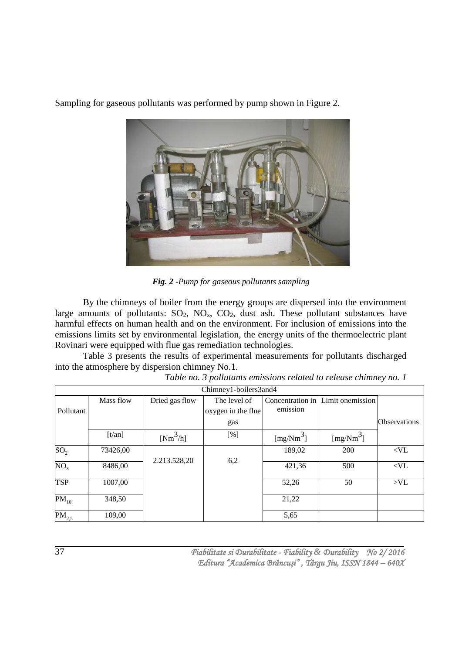

Sampling for gaseous pollutants was performed by pump shown in Figure 2.

*Fig. 2 -Pump for gaseous pollutants sampling*

By the chimneys of boiler from the energy groups are dispersed into the environment large amounts of pollutants:  $SO_2$ ,  $NO_x$ ,  $CO_2$ , dust ash. These pollutant substances have harmful effects on human health and on the environment. For inclusion of emissions into the emissions limits set by environmental legislation, the energy units of the thermoelectric plant Rovinari were equipped with flue gas remediation technologies.

Table 3 presents the results of experimental measurements for pollutants discharged into the atmosphere by dispersion chimney No.1.

| Chimney1-boilers3and4 |           |                |                    |                              |                  |                     |
|-----------------------|-----------|----------------|--------------------|------------------------------|------------------|---------------------|
|                       | Mass flow | Dried gas flow | The level of       | Concentration in<br>emission | Limit onemission |                     |
| Pollutant             |           |                | oxygen in the flue |                              |                  |                     |
|                       |           |                | gas                |                              |                  | <b>Observations</b> |
|                       | [t/an]    | $[Nm^3/h]$     | [%]                | $[mg/Nm^3]$                  | $[mg/Nm^3]$      |                     |
| SO <sub>2</sub>       | 73426,00  | 2.213.528,20   | 6,2                | 189,02                       | 200              | $<$ VL              |
| NO <sub>x</sub>       | 8486,00   |                |                    | 421,36                       | 500              | $<$ VL $\,$         |
| <b>TSP</b>            | 1007,00   |                |                    | 52,26                        | 50               | > V <sub>L</sub>    |
| $PM_{10}$             | 348,50    |                |                    | 21,22                        |                  |                     |
| $PM_{2,5}$            | 109,00    |                |                    | 5,65                         |                  |                     |

*Table no. 3 pollutants emissions related to release chimney no. 1*

 *Fiabilitate si Durabilitate - Fiability & Durability No 2/ 2016 Editura "Academica Brâncuşi" , Târgu Jiu, ISSN 1844 – 640X*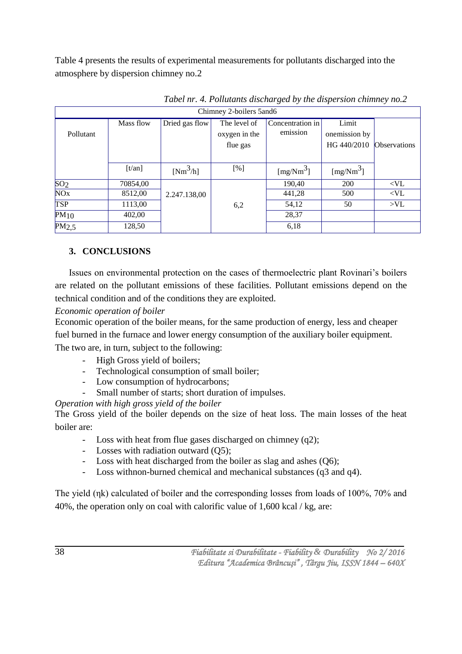Table 4 presents the results of experimental measurements for pollutants discharged into the atmosphere by dispersion chimney no.2

| Chimney 2-boilers 5and6 |           |                |                                           |                              |                                       |                     |
|-------------------------|-----------|----------------|-------------------------------------------|------------------------------|---------------------------------------|---------------------|
| Pollutant               | Mass flow | Dried gas flow | The level of<br>oxygen in the<br>flue gas | Concentration in<br>emission | Limit<br>onemission by<br>HG 440/2010 | <b>Observations</b> |
|                         | [t/an]    | $[Nm^3/h]$     | [%]                                       | $[mg/Nm^3]$                  | $[mg/Nm^3]$                           |                     |
| SO <sub>2</sub>         | 70854,00  |                |                                           | 190,40                       | 200                                   | $<$ VL              |
| NO <sub>x</sub>         | 8512,00   | 2.247.138,00   |                                           | 441,28                       | 500                                   | $<$ VL              |
| <b>TSP</b>              | 1113,00   |                | 6,2                                       | 54,12                        | 50                                    | >V <sub>L</sub>     |
| $PM_{10}$               | 402,00    |                |                                           | 28,37                        |                                       |                     |
| PM2,5                   | 128,50    |                |                                           | 6,18                         |                                       |                     |

*Tabel nr. 4. Pollutants discharged by the dispersion chimney no.2*

# **3. CONCLUSIONS**

Issues on environmental protection on the cases of thermoelectric plant Rovinari's boilers are related on the pollutant emissions of these facilities. Pollutant emissions depend on the technical condition and of the conditions they are exploited.

*Economic operation of boiler*

Economic operation of the boiler means, for the same production of energy, less and cheaper fuel burned in the furnace and lower energy consumption of the auxiliary boiler equipment.

The two are, in turn, subject to the following:

- High Gross yield of boilers;
- Technological consumption of small boiler;
- Low consumption of hydrocarbons;
- Small number of starts; short duration of impulses.

*Operation with high gross yield of the boiler*

The Gross yield of the boiler depends on the size of heat loss. The main losses of the heat boiler are:

- Loss with heat from flue gases discharged on chimney (q2);
- Losses with radiation outward (Q5);
- Loss with heat discharged from the boiler as slag and ashes (Q6);
- Loss withnon-burned chemical and mechanical substances (q3 and q4).

The yield (ηk) calculated of boiler and the corresponding losses from loads of 100%, 70% and 40%, the operation only on coal with calorific value of 1,600 kcal / kg, are: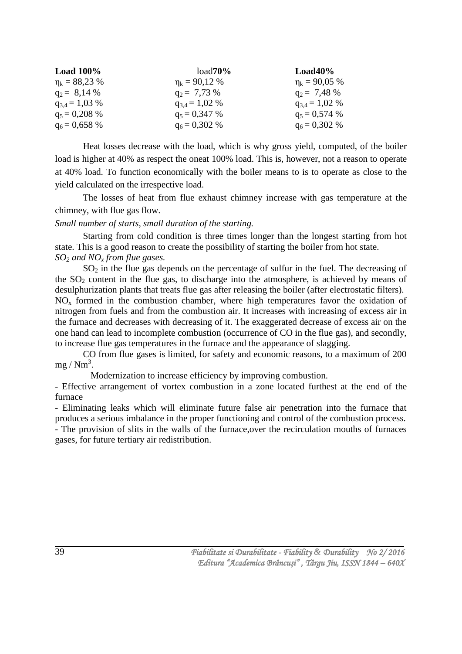| Load $100\%$       | $load70\%$         | $Load40\%$         |
|--------------------|--------------------|--------------------|
| $\eta_k = 88,23\%$ | $\eta_k = 90,12\%$ | $\eta_k = 90,05\%$ |
| $q_2 = 8.14 %$     | $q_2 = 7.73\%$     | $q_2 = 7,48%$      |
| $q_{3,4} = 1,03\%$ | $q_{3,4} = 1,02\%$ | $q_{3,4} = 1,02\%$ |
| $q_5 = 0,208\%$    | $q_5 = 0.347\%$    | $q_5 = 0.574\%$    |
| $q_6 = 0,658\%$    | $q_6 = 0,302\%$    | $q_6 = 0,302\%$    |

Heat losses decrease with the load, which is why gross yield, computed, of the boiler load is higher at 40% as respect the oneat 100% load. This is, however, not a reason to operate at 40% load. To function economically with the boiler means to is to operate as close to the yield calculated on the irrespective load.

The losses of heat from flue exhaust chimney increase with gas temperature at the chimney, with flue gas flow.

*Small number of starts, small duration of the starting.*

Starting from cold condition is three times longer than the longest starting from hot state. This is a good reason to create the possibility of starting the boiler from hot state. *SO<sup>2</sup> and NO<sup>x</sup> from flue gases.*

 $SO<sub>2</sub>$  in the flue gas depends on the percentage of sulfur in the fuel. The decreasing of the  $SO<sub>2</sub>$  content in the flue gas, to discharge into the atmosphere, is achieved by means of desulphurization plants that treats flue gas after releasing the boiler (after electrostatic filters). NO<sup>x</sup> formed in the combustion chamber, where high temperatures favor the oxidation of nitrogen from fuels and from the combustion air. It increases with increasing of excess air in the furnace and decreases with decreasing of it. The exaggerated decrease of excess air on the one hand can lead to incomplete combustion (occurrence of CO in the flue gas), and secondly, to increase flue gas temperatures in the furnace and the appearance of slagging.

CO from flue gases is limited, for safety and economic reasons, to a maximum of 200  $mg / Nm<sup>3</sup>$ .

Modernization to increase efficiency by improving combustion.

- Effective arrangement of vortex combustion in a zone located furthest at the end of the furnace

- Eliminating leaks which will eliminate future false air penetration into the furnace that produces a serious imbalance in the proper functioning and control of the combustion process. - The provision of slits in the walls of the furnace,over the recirculation mouths of furnaces

gases, for future tertiary air redistribution.